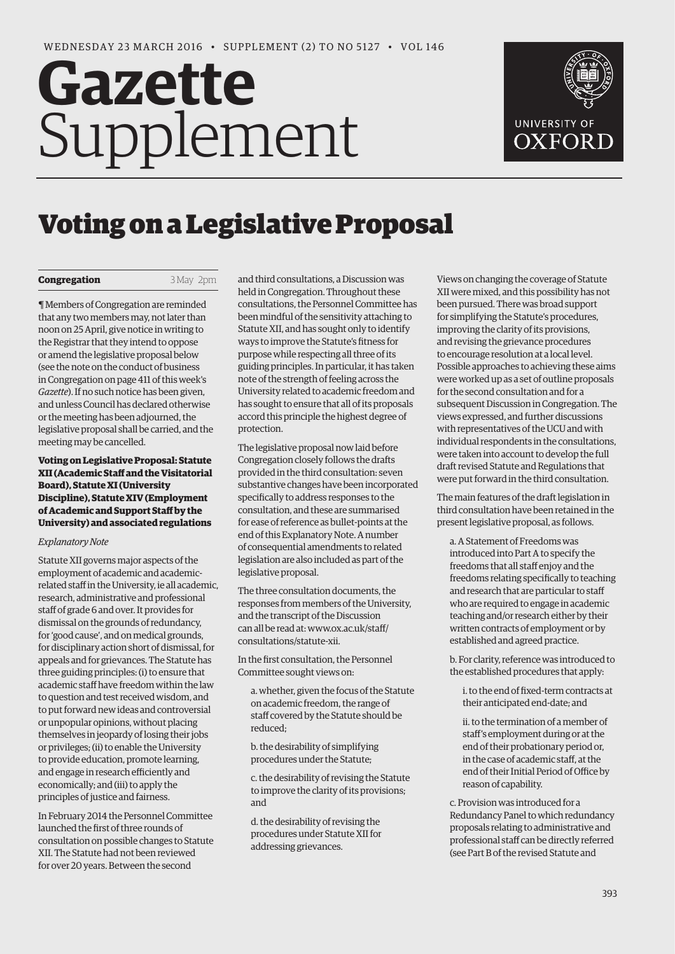# **Gazette** Supplement



# Voting on a Legislative Proposal

# **Congregation** 3 May 2pm

¶ Members of Congregation are reminded that any two members may, not later than noon on 25 April, give notice in writing to the Registrar that they intend to oppose or amend the legislative proposal below (see the note on the conduct of business in Congregation on page 411 of this week's *Gazette*). If no such notice has been given, and unless Council has declared otherwise or the meeting has been adjourned, the legislative proposal shall be carried, and the meeting may be cancelled.

# **Voting on Legislative Proposal: Statute XII (Academic Staff and the Visitatorial Board), Statute XI (University Discipline), Statute XIV (Employment of Academic and Support Staff by the University) and associated regulations**

### *Explanatory Note*

Statute XII governs major aspects of the employment of academic and academicrelated staff in the University, ie all academic, research, administrative and professional staff of grade 6 and over. It provides for dismissal on the grounds of redundancy, for 'good cause', and on medical grounds, for disciplinary action short of dismissal, for appeals and for grievances. The Statute has three guiding principles: (i) to ensure that academic staff have freedom within the law to question and test received wisdom, and to put forward new ideas and controversial or unpopular opinions, without placing themselves in jeopardy of losing their jobs or privileges; (ii) to enable the University to provide education, promote learning, and engage in research efficiently and economically; and (iii) to apply the principles of justice and fairness.

In February 2014 the Personnel Committee launched the first of three rounds of consultation on possible changes to Statute XII. The Statute had not been reviewed for over 20 years. Between the second

and third consultations, a Discussion was held in Congregation. Throughout these consultations, the Personnel Committee has been mindful of the sensitivity attaching to Statute XII, and has sought only to identify ways to improve the Statute's fitness for purpose while respecting all three of its guiding principles. In particular, it has taken note of the strength of feeling across the University related to academic freedom and has sought to ensure that all of its proposals accord this principle the highest degree of protection.

The legislative proposal now laid before Congregation closely follows the drafts provided in the third consultation: seven substantive changes have been incorporated specifically to address responses to the consultation, and these are summarised for ease of reference as bullet-points at the end of this Explanatory Note. A number of consequential amendments to related legislation are also included as part of the legislative proposal.

The three consultation documents, the responses from members of the University, and the transcript of the Discussion [can all be read at: www.ox.ac.uk/staff/](www.ox.ac.uk/staff/consultations/statute-xii) consultations/statute-xii.

In the first consultation, the Personnel Committee sought views on:

a. whether, given the focus of the Statute on academic freedom, the range of staff covered by the Statute should be reduced;

b. the desirability of simplifying procedures under the Statute;

c. the desirability of revising the Statute to improve the clarity of its provisions; and

d. the desirability of revising the procedures under Statute XII for addressing grievances.

Views on changing the coverage of Statute XII were mixed, and this possibility has not been pursued. There was broad support for simplifying the Statute's procedures, improving the clarity of its provisions, and revising the grievance procedures to encourage resolution at a local level. Possible approaches to achieving these aims were worked up as a set of outline proposals for the second consultation and for a subsequent Discussion in Congregation. The views expressed, and further discussions with representatives of the UCU and with individual respondents in the consultations, were taken into account to develop the full draft revised Statute and Regulations that were put forward in the third consultation.

The main features of the draft legislation in third consultation have been retained in the present legislative proposal, as follows.

a. A Statement of Freedoms was introduced into Part A to specify the freedoms that all staff enjoy and the freedoms relating specifically to teaching and research that are particular to staff who are required to engage in academic teaching and/or research either by their written contracts of employment or by established and agreed practice.

b. For clarity, reference was introduced to the established procedures that apply:

i. to the end of fixed-term contracts at their anticipated end-date; and

ii. to the termination of a member of staff's employment during or at the end of their probationary period or, in the case of academic staff, at the end of their Initial Period of Office by reason of capability.

c. Provision was introduced for a Redundancy Panel to which redundancy proposals relating to administrative and professional staff can be directly referred (see Part B of the revised Statute and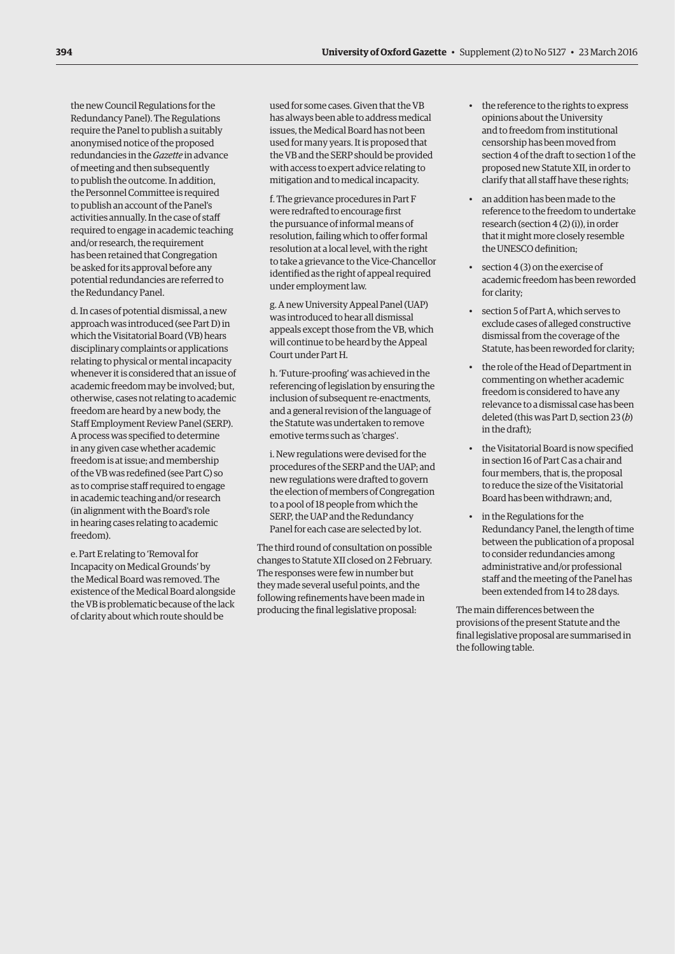the new Council Regulations for the Redundancy Panel). The Regulations require the Panel to publish a suitably anonymised notice of the proposed redundancies in the *Gazette* in advance of meeting and then subsequently to publish the outcome. In addition, the Personnel Committee is required to publish an account of the Panel's activities annually. In the case of staff required to engage in academic teaching and/or research, the requirement has been retained that Congregation be asked for its approval before any potential redundancies are referred to the Redundancy Panel.

d. In cases of potential dismissal, a new approach was introduced (see Part D) in which the Visitatorial Board (VB) hears disciplinary complaints or applications relating to physical or mental incapacity whenever it is considered that an issue of academic freedom may be involved; but, otherwise, cases not relating to academic freedom are heard by a new body, the Staff Employment Review Panel (SERP). A process was specified to determine in any given case whether academic freedom is at issue; and membership of the VB was redefined (see Part C) so as to comprise staff required to engage in academic teaching and/or research (in alignment with the Board's role in hearing cases relating to academic freedom).

e. Part E relating to 'Removal for Incapacity on Medical Grounds' by the Medical Board was removed. The existence of the Medical Board alongside the VB is problematic because of the lack of clarity about which route should be

used for some cases. Given that the VB has always been able to address medical issues, the Medical Board has not been used for many years. It is proposed that the VB and the SERP should be provided with access to expert advice relating to mitigation and to medical incapacity.

f. The grievance procedures in Part F were redrafted to encourage first the pursuance of informal means of resolution, failing which to offer formal resolution at a local level, with the right to take a grievance to the Vice-Chancellor identified as the right of appeal required under employment law.

g. A new University Appeal Panel (UAP) was introduced to hear all dismissal appeals except those from the VB, which will continue to be heard by the Appeal Court under Part H.

h. 'Future-proofing' was achieved in the referencing of legislation by ensuring the inclusion of subsequent re-enactments, and a general revision of the language of the Statute was undertaken to remove emotive terms such as 'charges'.

i. New regulations were devised for the procedures of the SERP and the UAP; and new regulations were drafted to govern the election of members of Congregation to a pool of 18 people from which the SERP, the UAP and the Redundancy Panel for each case are selected by lot.

The third round of consultation on possible changes to Statute XII closed on 2 February. The responses were few in number but they made several useful points, and the following refinements have been made in producing the final legislative proposal:

- the reference to the rights to express opinions about the University and to freedom from institutional censorship has been moved from section 4 of the draft to section 1 of the proposed new Statute XII, in order to clarify that all staff have these rights;
- an addition has been made to the reference to the freedom to undertake research (section 4 (2) (i)), in order that it might more closely resemble the UNESCO definition;
- section 4 (3) on the exercise of academic freedom has been reworded for clarity;
- section 5 of Part A, which serves to exclude cases of alleged constructive dismissal from the coverage of the Statute, has been reworded for clarity;
- the role of the Head of Department in commenting on whether academic freedom is considered to have any relevance to a dismissal case has been deleted (this was Part D, section 23 (*b*) in the draft);
- the Visitatorial Board is now specified in section 16 of Part C as a chair and four members, that is, the proposal to reduce the size of the Visitatorial Board has been withdrawn; and,
- in the Regulations for the Redundancy Panel, the length of time between the publication of a proposal to consider redundancies among administrative and/or professional staff and the meeting of the Panel has been extended from 14 to 28 days.

The main differences between the provisions of the present Statute and the final legislative proposal are summarised in the following table.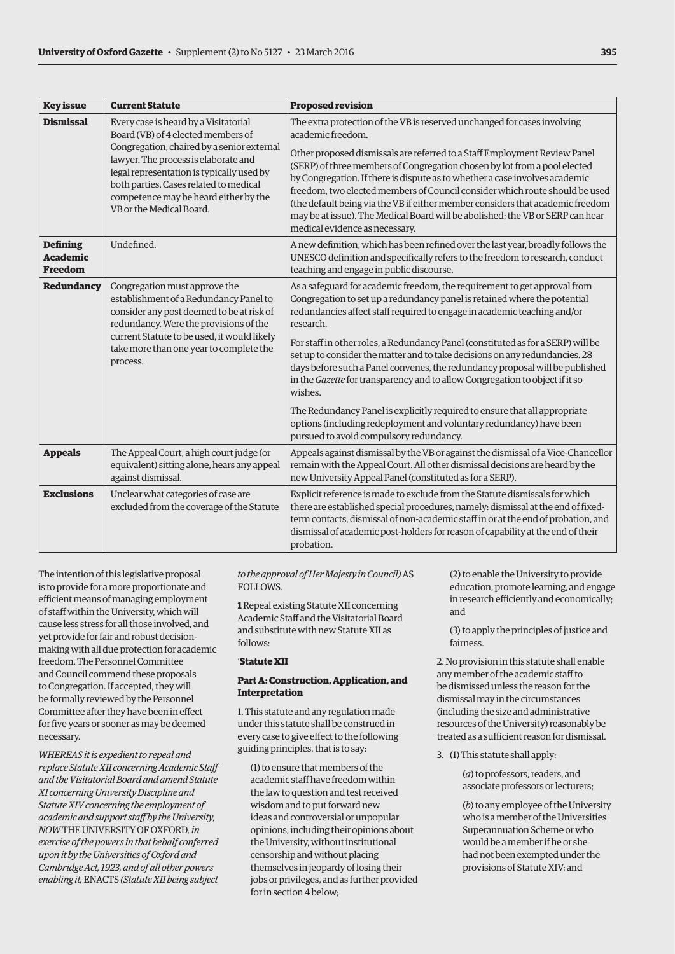| <b>Key issue</b>                                     | <b>Current Statute</b>                                                                                                                                                                                                                                                                                                        | <b>Proposed revision</b>                                                                                                                                                                                                                                                                                                                                                                                                                                                                                                   |
|------------------------------------------------------|-------------------------------------------------------------------------------------------------------------------------------------------------------------------------------------------------------------------------------------------------------------------------------------------------------------------------------|----------------------------------------------------------------------------------------------------------------------------------------------------------------------------------------------------------------------------------------------------------------------------------------------------------------------------------------------------------------------------------------------------------------------------------------------------------------------------------------------------------------------------|
| <b>Dismissal</b>                                     | Every case is heard by a Visitatorial<br>Board (VB) of 4 elected members of<br>Congregation, chaired by a senior external<br>lawyer. The process is elaborate and<br>legal representation is typically used by<br>both parties. Cases related to medical<br>competence may be heard either by the<br>VB or the Medical Board. | The extra protection of the VB is reserved unchanged for cases involving<br>academic freedom.                                                                                                                                                                                                                                                                                                                                                                                                                              |
|                                                      |                                                                                                                                                                                                                                                                                                                               | Other proposed dismissals are referred to a Staff Employment Review Panel<br>(SERP) of three members of Congregation chosen by lot from a pool elected<br>by Congregation. If there is dispute as to whether a case involves academic<br>freedom, two elected members of Council consider which route should be used<br>(the default being via the VB if either member considers that academic freedom<br>may be at issue). The Medical Board will be abolished; the VB or SERP can hear<br>medical evidence as necessary. |
| <b>Defining</b><br><b>Academic</b><br><b>Freedom</b> | Undefined.                                                                                                                                                                                                                                                                                                                    | A new definition, which has been refined over the last year, broadly follows the<br>UNESCO definition and specifically refers to the freedom to research, conduct<br>teaching and engage in public discourse.                                                                                                                                                                                                                                                                                                              |
| Redundancy                                           | Congregation must approve the<br>establishment of a Redundancy Panel to<br>consider any post deemed to be at risk of<br>redundancy. Were the provisions of the<br>current Statute to be used, it would likely<br>take more than one year to complete the<br>process.                                                          | As a safeguard for academic freedom, the requirement to get approval from<br>Congregation to set up a redundancy panel is retained where the potential<br>redundancies affect staff required to engage in academic teaching and/or<br>research.                                                                                                                                                                                                                                                                            |
|                                                      |                                                                                                                                                                                                                                                                                                                               | For staff in other roles, a Redundancy Panel (constituted as for a SERP) will be<br>set up to consider the matter and to take decisions on any redundancies. 28<br>days before such a Panel convenes, the redundancy proposal will be published<br>in the Gazette for transparency and to allow Congregation to object if it so<br>wishes.                                                                                                                                                                                 |
|                                                      |                                                                                                                                                                                                                                                                                                                               | The Redundancy Panel is explicitly required to ensure that all appropriate<br>options (including redeployment and voluntary redundancy) have been<br>pursued to avoid compulsory redundancy.                                                                                                                                                                                                                                                                                                                               |
| <b>Appeals</b>                                       | The Appeal Court, a high court judge (or<br>equivalent) sitting alone, hears any appeal<br>against dismissal.                                                                                                                                                                                                                 | Appeals against dismissal by the VB or against the dismissal of a Vice-Chancellor<br>remain with the Appeal Court. All other dismissal decisions are heard by the<br>new University Appeal Panel (constituted as for a SERP).                                                                                                                                                                                                                                                                                              |
| <b>Exclusions</b>                                    | Unclear what categories of case are<br>excluded from the coverage of the Statute                                                                                                                                                                                                                                              | Explicit reference is made to exclude from the Statute dismissals for which<br>there are established special procedures, namely: dismissal at the end of fixed-<br>term contacts, dismissal of non-academic staff in or at the end of probation, and<br>dismissal of academic post-holders for reason of capability at the end of their<br>probation.                                                                                                                                                                      |

The intention of this legislative proposal is to provide for a more proportionate and efficient means of managing employment of staff within the University, which will cause less stress for all those involved, and yet provide for fair and robust decisionmaking with all due protection for academic freedom. The Personnel Committee and Council commend these proposals to Congregation. If accepted, they will be formally reviewed by the Personnel Committee after they have been in effect for five years or sooner as may be deemed necessary.

*WHEREAS it is expedient to repeal and replace Statute XII concerning Academic Staff and the Visitatorial Board and amend Statute XI concerning University Discipline and Statute XIV concerning the employment of academic and support staff by the University, NOW* THE UNIVERSITY OF OXFORD*, in exercise of the powers in that behalf conferred upon it by the Universities of Oxford and Cambridge Act, 1923, and of all other powers enabling it,* ENACTS *(Statute XII being subject* 

*to the approval of Her Majesty in Council)* AS FOLLOWS.

**1** Repeal existing Statute XII concerning Academic Staff and the Visitatorial Board and substitute with new Statute XII as follows:

# '**Statute XII**

#### **Part A: Construction, Application, and Interpretation**

1. This statute and any regulation made under this statute shall be construed in every case to give effect to the following guiding principles, that is to say:

(1) to ensure that members of the academic staff have freedom within the law to question and test received wisdom and to put forward new ideas and controversial or unpopular opinions, including their opinions about the University, without institutional censorship and without placing themselves in jeopardy of losing their jobs or privileges, and as further provided for in section 4 below;

(2) to enable the University to provide education, promote learning, and engage in research efficiently and economically; and

(3) to apply the principles of justice and fairness.

2. No provision in this statute shall enable any member of the academic staff to be dismissed unless the reason for the dismissal may in the circumstances (including the size and administrative resources of the University) reasonably be treated as a sufficient reason for dismissal.

3. (1) This statute shall apply:

(*a*) to professors, readers, and associate professors or lecturers;

(*b*) to any employee of the University who is a member of the Universities Superannuation Scheme or who would be a member if he or she had not been exempted under the provisions of Statute XIV; and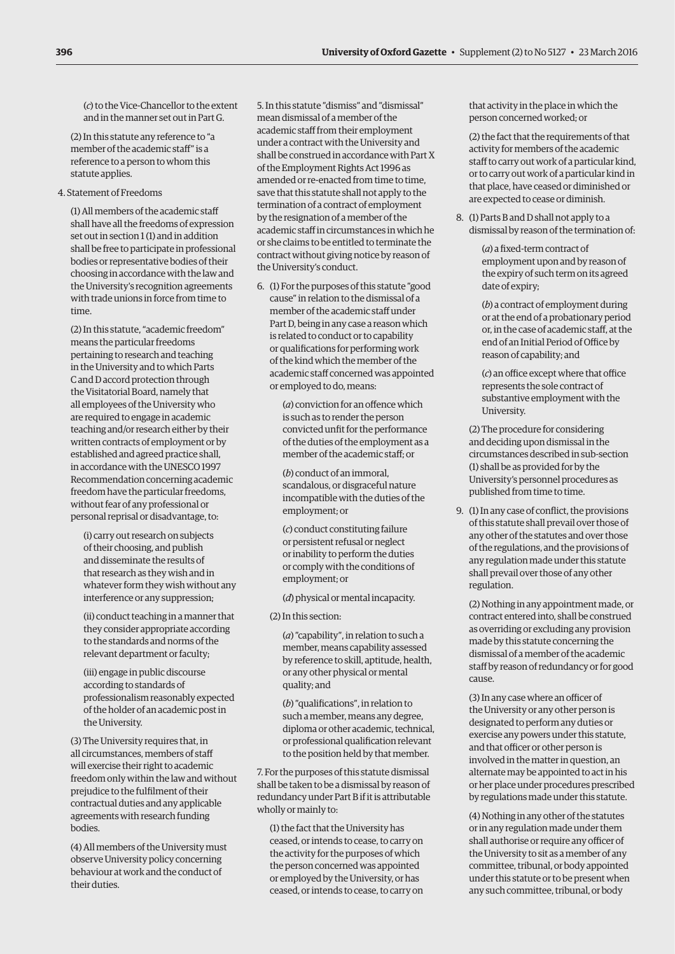(*c*) to the Vice-Chancellor to the extent and in the manner set out in Part G.

(2) In this statute any reference to "a member of the academic staff" is a reference to a person to whom this statute applies.

### 4. Statement of Freedoms

(1) All members of the academic staff shall have all the freedoms of expression set out in section 1 (1) and in addition shall be free to participate in professional bodies or representative bodies of their choosing in accordance with the law and the University's recognition agreements with trade unions in force from time to time.

(2) In this statute, "academic freedom" means the particular freedoms pertaining to research and teaching in the University and to which Parts C and D accord protection through the Visitatorial Board, namely that all employees of the University who are required to engage in academic teaching and/or research either by their written contracts of employment or by established and agreed practice shall, in accordance with the UNESCO 1997 Recommendation concerning academic freedom have the particular freedoms, without fear of any professional or personal reprisal or disadvantage, to:

(i) carry out research on subjects of their choosing, and publish and disseminate the results of that research as they wish and in whatever form they wish without any interference or any suppression;

(ii) conduct teaching in a manner that they consider appropriate according to the standards and norms of the relevant department or faculty;

(iii) engage in public discourse according to standards of professionalism reasonably expected of the holder of an academic post in the University.

(3) The University requires that, in all circumstances, members of staff will exercise their right to academic freedom only within the law and without prejudice to the fulfilment of their contractual duties and any applicable agreements with research funding bodies.

(4) All members of the University must observe University policy concerning behaviour at work and the conduct of their duties.

5. In this statute "dismiss" and "dismissal" mean dismissal of a member of the academic staff from their employment under a contract with the University and shall be construed in accordance with Part X of the Employment Rights Act 1996 as amended or re-enacted from time to time, save that this statute shall not apply to the termination of a contract of employment by the resignation of a member of the academic staff in circumstances in which he or she claims to be entitled to terminate the contract without giving notice by reason of the University's conduct.

6. (1) For the purposes of this statute "good cause" in relation to the dismissal of a member of the academic staff under Part D, being in any case a reason which is related to conduct or to capability or qualifications for performing work of the kind which the member of the academic staff concerned was appointed or employed to do, means:

> (*a*) conviction for an offence which is such as to render the person convicted unfit for the performance of the duties of the employment as a member of the academic staff; or

(*b*) conduct of an immoral, scandalous, or disgraceful nature incompatible with the duties of the employment; or

(*c*) conduct constituting failure or persistent refusal or neglect or inability to perform the duties or comply with the conditions of employment; or

(*d*) physical or mental incapacity.

(2) In this section:

(*a*) "capability", in relation to such a member, means capability assessed by reference to skill, aptitude, health, or any other physical or mental quality; and

(*b*) "qualifications", in relation to such a member, means any degree, diploma or other academic, technical, or professional qualification relevant to the position held by that member.

7. For the purposes of this statute dismissal shall be taken to be a dismissal by reason of redundancy under Part B if it is attributable wholly or mainly to:

(1) the fact that the University has ceased, or intends to cease, to carry on the activity for the purposes of which the person concerned was appointed or employed by the University, or has ceased, or intends to cease, to carry on

that activity in the place in which the person concerned worked; or

(2) the fact that the requirements of that activity for members of the academic staff to carry out work of a particular kind, or to carry out work of a particular kind in that place, have ceased or diminished or are expected to cease or diminish.

8. (1) Parts B and D shall not apply to a dismissal by reason of the termination of:

> (*a*) a fixed-term contract of employment upon and by reason of the expiry of such term on its agreed date of expiry;

(*b*) a contract of employment during or at the end of a probationary period or, in the case of academic staff, at the end of an Initial Period of Office by reason of capability; and

(*c*) an office except where that office represents the sole contract of substantive employment with the University.

(2) The procedure for considering and deciding upon dismissal in the circumstances described in sub-section (1) shall be as provided for by the University's personnel procedures as published from time to time.

9. (1) In any case of conflict, the provisions of this statute shall prevail over those of any other of the statutes and over those of the regulations, and the provisions of any regulation made under this statute shall prevail over those of any other regulation.

(2) Nothing in any appointment made, or contract entered into, shall be construed as overriding or excluding any provision made by this statute concerning the dismissal of a member of the academic staff by reason of redundancy or for good cause.

(3) In any case where an officer of the University or any other person is designated to perform any duties or exercise any powers under this statute, and that officer or other person is involved in the matter in question, an alternate may be appointed to act in his or her place under procedures prescribed by regulations made under this statute.

(4) Nothing in any other of the statutes or in any regulation made under them shall authorise or require any officer of the University to sit as a member of any committee, tribunal, or body appointed under this statute or to be present when any such committee, tribunal, or body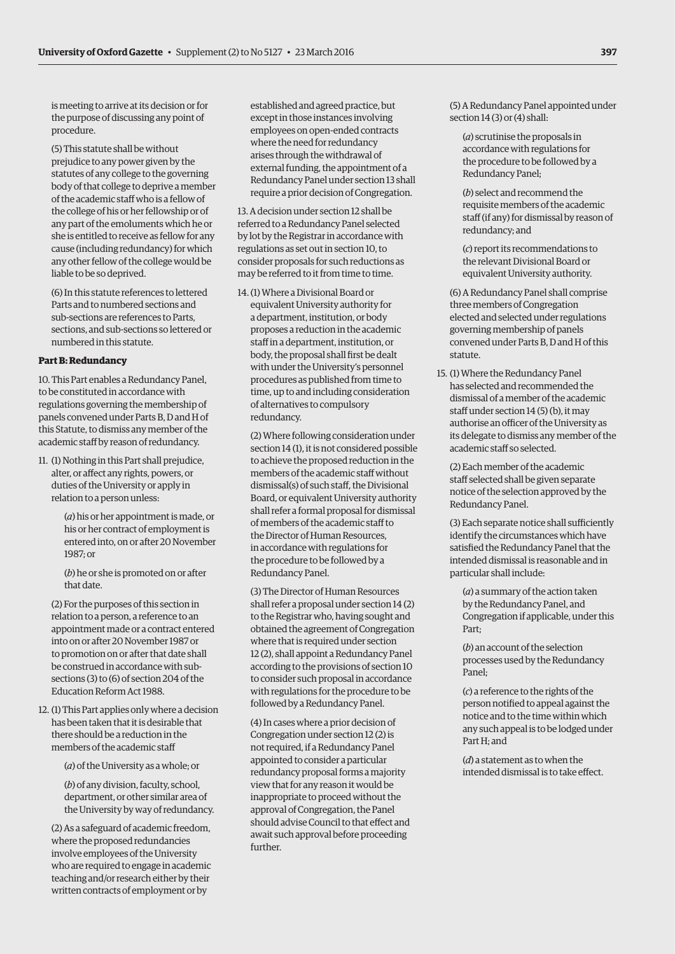is meeting to arrive at its decision or for the purpose of discussing any point of procedure.

(5) This statute shall be without prejudice to any power given by the statutes of any college to the governing body of that college to deprive a member of the academic staff who is a fellow of the college of his or her fellowship or of any part of the emoluments which he or she is entitled to receive as fellow for any cause (including redundancy) for which any other fellow of the college would be liable to be so deprived.

(6) In this statute references to lettered Parts and to numbered sections and sub-sections are references to Parts, sections, and sub-sections so lettered or numbered in this statute.

#### **Part B: Redundancy**

10. This Part enables a Redundancy Panel, to be constituted in accordance with regulations governing the membership of panels convened under Parts B, D and H of this Statute, to dismiss any member of the academic staff by reason of redundancy.

11. (1) Nothing in this Part shall prejudice, alter, or affect any rights, powers, or duties of the University or apply in relation to a person unless:

> (*a*) his or her appointment is made, or his or her contract of employment is entered into, on or after 20 November 1987; or

(*b*) he or she is promoted on or after that date.

(2) For the purposes of this section in relation to a person, a reference to an appointment made or a contract entered into on or after 20 November 1987 or to promotion on or after that date shall be construed in accordance with subsections (3) to (6) of section 204 of the Education Reform Act 1988.

12. (1) This Part applies only where a decision has been taken that it is desirable that there should be a reduction in the members of the academic staff

(*a*) of the University as a whole; or

(*b*) of any division, faculty, school, department, or other similar area of the University by way of redundancy.

(2) As a safeguard of academic freedom, where the proposed redundancies involve employees of the University who are required to engage in academic teaching and/or research either by their written contracts of employment or by

established and agreed practice, but except in those instances involving employees on open-ended contracts where the need for redundancy arises through the withdrawal of external funding, the appointment of a Redundancy Panel under section 13 shall require a prior decision of Congregation.

13. A decision under section 12 shall be referred to a Redundancy Panel selected by lot by the Registrar in accordance with regulations as set out in section 10, to consider proposals for such reductions as may be referred to it from time to time.

14. (1) Where a Divisional Board or equivalent University authority for a department, institution, or body proposes a reduction in the academic staff in a department, institution, or body, the proposal shall first be dealt with under the University's personnel procedures as published from time to time, up to and including consideration of alternatives to compulsory redundancy.

(2) Where following consideration under section 14 (1), it is not considered possible to achieve the proposed reduction in the members of the academic staff without dismissal(s) of such staff, the Divisional Board, or equivalent University authority shall refer a formal proposal for dismissal of members of the academic staff to the Director of Human Resources, in accordance with regulations for the procedure to be followed by a Redundancy Panel.

(3) The Director of Human Resources shall refer a proposal under section 14 (2) to the Registrar who, having sought and obtained the agreement of Congregation where that is required under section 12 (2), shall appoint a Redundancy Panel according to the provisions of section 10 to consider such proposal in accordance with regulations for the procedure to be followed by a Redundancy Panel.

(4) In cases where a prior decision of Congregation under section 12 (2) is not required, if a Redundancy Panel appointed to consider a particular redundancy proposal forms a majority view that for any reason it would be inappropriate to proceed without the approval of Congregation, the Panel should advise Council to that effect and await such approval before proceeding further.

(5) A Redundancy Panel appointed under section 14 (3) or (4) shall:

(*a*) scrutinise the proposals in accordance with regulations for the procedure to be followed by a Redundancy Panel;

(*b*) select and recommend the requisite members of the academic staff (if any) for dismissal by reason of redundancy; and

(*c*) report its recommendations to the relevant Divisional Board or equivalent University authority.

(6) A Redundancy Panel shall comprise three members of Congregation elected and selected under regulations governing membership of panels convened under Parts B, D and H of this statute.

15. (1) Where the Redundancy Panel has selected and recommended the dismissal of a member of the academic staff under section 14 (5) (b), it may authorise an officer of the University as its delegate to dismiss any member of the academic staff so selected.

(2) Each member of the academic staff selected shall be given separate notice of the selection approved by the Redundancy Panel.

(3) Each separate notice shall sufficiently identify the circumstances which have satisfied the Redundancy Panel that the intended dismissal is reasonable and in particular shall include:

(*a*) a summary of the action taken by the Redundancy Panel, and Congregation if applicable, under this Part;

(*b*) an account of the selection processes used by the Redundancy Panel;

(*c*) a reference to the rights of the person notified to appeal against the notice and to the time within which any such appeal is to be lodged under Part H; and

(*d*) a statement as to when the intended dismissal is to take effect.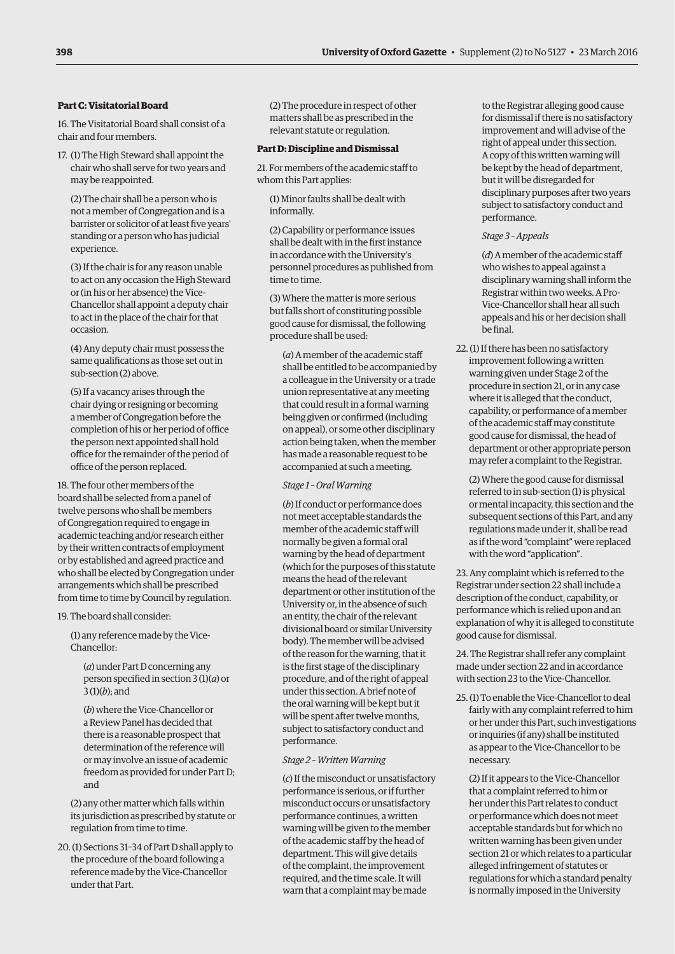#### **Part C: Visitatorial Board**

16. The Visitatorial Board shall consist of a chair and four members.

17. (1) The High Steward shall appoint the chair who shall serve for two years and may be reappointed.

(2) The chair shall be a person who is not a member of Congregation and is a barrister or solicitor of at least five years' standing or a person who has judicial experience.

(3) If the chair is for any reason unable to act on any occasion the High Steward or (in his or her absence) the Vice-Chancellor shall appoint a deputy chair to act in the place of the chair for that occasion.

(4) Any deputy chair must possess the same qualifications as those set out in sub-section (2) above.

(5) If a vacancy arises through the chair dying or resigning or becoming a member of Congregation before the completion of his or her period of office the person next appointed shall hold office for the remainder of the period of office of the person replaced.

18. The four other members of the board shall be selected from a panel of twelve persons who shall be members of Congregation required to engage in academic teaching and/or research either by their written contracts of employment or by established and agreed practice and who shall be elected by Congregation under arrangements which shall be prescribed from time to time by Council by regulation.

19. The board shall consider:

(1) any reference made by the Vice-Chancellor:

(*a*) under Part D concerning any person specified in section 3 (1)(*a*) or 3 (1)(*b*); and

(*b*) where the Vice-Chancellor or a Review Panel has decided that there is a reasonable prospect that determination of the reference will or may involve an issue of academic freedom as provided for under Part D; and

(2) any other matter which falls within its jurisdiction as prescribed by statute or regulation from time to time.

20. (1) Sections 31–34 of Part D shall apply to the procedure of the board following a reference made by the Vice-Chancellor under that Part.

(2) The procedure in respect of other matters shall be as prescribed in the relevant statute or regulation.

#### **Part D: Discipline and Dismissal**

21. For members of the academic staff to whom this Part applies:

(1) Minor faults shall be dealt with informally.

(2) Capability or performance issues shall be dealt with in the first instance in accordance with the University's personnel procedures as published from time to time.

(3) Where the matter is more serious but falls short of constituting possible good cause for dismissal, the following procedure shall be used:

(*a*) A member of the academic staff shall be entitled to be accompanied by a colleague in the University or a trade union representative at any meeting that could result in a formal warning being given or confirmed (including on appeal), or some other disciplinary action being taken, when the member has made a reasonable request to be accompanied at such a meeting.

*Stage 1 – Oral Warning* 

(*b*) If conduct or performance does not meet acceptable standards the member of the academic staff will normally be given a formal oral warning by the head of department (which for the purposes of this statute means the head of the relevant department or other institution of the University or, in the absence of such an entity, the chair of the relevant divisional board or similar University body). The member will be advised of the reason for the warning, that it is the first stage of the disciplinary procedure, and of the right of appeal under this section. A brief note of the oral warning will be kept but it will be spent after twelve months, subject to satisfactory conduct and performance.

#### *Stage 2 – Written Warning*

(*c*) If the misconduct or unsatisfactory performance is serious, or if further misconduct occurs or unsatisfactory performance continues, a written warning will be given to the member of the academic staff by the head of department. This will give details of the complaint, the improvement required, and the time scale. It will warn that a complaint may be made

to the Registrar alleging good cause for dismissal if there is no satisfactory improvement and will advise of the right of appeal under this section. A copy of this written warning will be kept by the head of department, but it will be disregarded for disciplinary purposes after two years subject to satisfactory conduct and performance.

#### *Stage 3 – Appeals*

(*d*) A member of the academic staff who wishes to appeal against a disciplinary warning shall inform the Registrar within two weeks. A Pro-Vice-Chancellor shall hear all such appeals and his or her decision shall be final.

22. (1) If there has been no satisfactory improvement following a written warning given under Stage 2 of the procedure in section 21, or in any case where it is alleged that the conduct, capability, or performance of a member of the academic staff may constitute good cause for dismissal, the head of department or other appropriate person may refer a complaint to the Registrar.

(2) Where the good cause for dismissal referred to in sub-section (1) is physical or mental incapacity, this section and the subsequent sections of this Part, and any regulations made under it, shall be read as if the word "complaint" were replaced with the word "application".

23. Any complaint which is referred to the Registrar under section 22 shall include a description of the conduct, capability, or performance which is relied upon and an explanation of why it is alleged to constitute good cause for dismissal.

24. The Registrar shall refer any complaint made under section 22 and in accordance with section 23 to the Vice-Chancellor.

25. (1) To enable the Vice-Chancellor to deal fairly with any complaint referred to him or her under this Part, such investigations or inquiries (if any) shall be instituted as appear to the Vice-Chancellor to be necessary.

(2) If it appears to the Vice-Chancellor that a complaint referred to him or her under this Part relates to conduct or performance which does not meet acceptable standards but for which no written warning has been given under section 21 or which relates to a particular alleged infringement of statutes or regulations for which a standard penalty is normally imposed in the University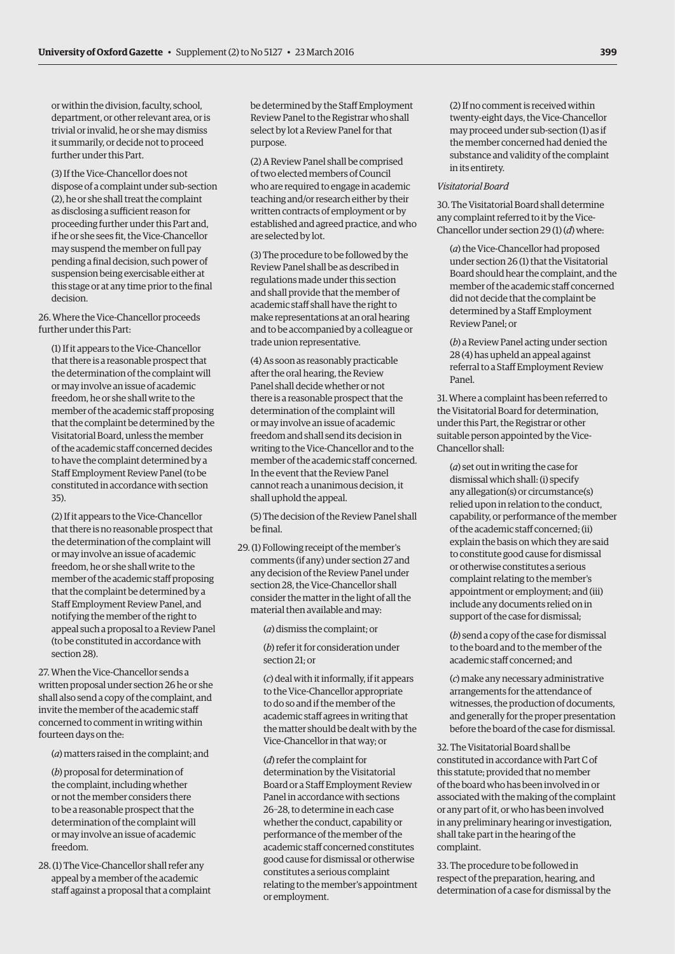or within the division, faculty, school, department, or other relevant area, or is trivial or invalid, he or she may dismiss it summarily, or decide not to proceed further under this Part.

(3) If the Vice-Chancellor does not dispose of a complaint under sub-section (2), he or she shall treat the complaint as disclosing a sufficient reason for proceeding further under this Part and, if he or she sees fit, the Vice-Chancellor may suspend the member on full pay pending a final decision, such power of suspension being exercisable either at this stage or at any time prior to the final decision.

26. Where the Vice-Chancellor proceeds further under this Part:

(1) If it appears to the Vice-Chancellor that there is a reasonable prospect that the determination of the complaint will or may involve an issue of academic freedom, he or she shall write to the member of the academic staff proposing that the complaint be determined by the Visitatorial Board, unless the member of the academic staff concerned decides to have the complaint determined by a Staff Employment Review Panel (to be constituted in accordance with section 35).

(2) If it appears to the Vice-Chancellor that there is no reasonable prospect that the determination of the complaint will or may involve an issue of academic freedom, he or she shall write to the member of the academic staff proposing that the complaint be determined by a Staff Employment Review Panel, and notifying the member of the right to appeal such a proposal to a Review Panel (to be constituted in accordance with section 28).

27. When the Vice-Chancellor sends a written proposal under section 26 he or she shall also send a copy of the complaint, and invite the member of the academic staff concerned to comment in writing within fourteen days on the:

(*a*) matters raised in the complaint; and

(*b*) proposal for determination of the complaint, including whether or not the member considers there to be a reasonable prospect that the determination of the complaint will or may involve an issue of academic freedom.

28. (1) The Vice-Chancellor shall refer any appeal by a member of the academic staff against a proposal that a complaint be determined by the Staff Employment Review Panel to the Registrar who shall select by lot a Review Panel for that purpose.

(2) A Review Panel shall be comprised of two elected members of Council who are required to engage in academic teaching and/or research either by their written contracts of employment or by established and agreed practice, and who are selected by lot.

(3) The procedure to be followed by the Review Panel shall be as described in regulations made under this section and shall provide that the member of academic staff shall have the right to make representations at an oral hearing and to be accompanied by a colleague or trade union representative.

(4) As soon as reasonably practicable after the oral hearing, the Review Panel shall decide whether or not there is a reasonable prospect that the determination of the complaint will or may involve an issue of academic freedom and shall send its decision in writing to the Vice-Chancellor and to the member of the academic staff concerned. In the event that the Review Panel cannot reach a unanimous decision, it shall uphold the appeal.

(5) The decision of the Review Panel shall be final.

29. (1) Following receipt of the member's comments (if any) under section 27 and any decision of the Review Panel under section 28, the Vice-Chancellor shall consider the matter in the light of all the material then available and may:

(*a*) dismiss the complaint; or

(*b*) refer it for consideration under section 21; or

(*c*) deal with it informally, if it appears to the Vice-Chancellor appropriate to do so and if the member of the academic staff agrees in writing that the matter should be dealt with by the Vice-Chancellor in that way; or

(*d*) refer the complaint for determination by the Visitatorial Board or a Staff Employment Review Panel in accordance with sections 26–28, to determine in each case whether the conduct, capability or performance of the member of the academic staff concerned constitutes good cause for dismissal or otherwise constitutes a serious complaint relating to the member's appointment or employment.

(2) If no comment is received within twenty-eight days, the Vice-Chancellor may proceed under sub-section (1) as if the member concerned had denied the substance and validity of the complaint in its entirety.

#### *Visitatorial Board*

30. The Visitatorial Board shall determine any complaint referred to it by the Vice-Chancellor under section 29 (1) (*d*) where:

(*a*) the Vice-Chancellor had proposed under section 26 (1) that the Visitatorial Board should hear the complaint, and the member of the academic staff concerned did not decide that the complaint be determined by a Staff Employment Review Panel; or

(*b*) a Review Panel acting under section 28 (4) has upheld an appeal against referral to a Staff Employment Review Panel.

31. Where a complaint has been referred to the Visitatorial Board for determination, under this Part, the Registrar or other suitable person appointed by the Vice-Chancellor shall:

(*a*) set out in writing the case for dismissal which shall: (i) specify any allegation(s) or circumstance(s) relied upon in relation to the conduct, capability, or performance of the member of the academic staff concerned; (ii) explain the basis on which they are said to constitute good cause for dismissal or otherwise constitutes a serious complaint relating to the member's appointment or employment; and (iii) include any documents relied on in support of the case for dismissal;

(*b*) send a copy of the case for dismissal to the board and to the member of the academic staff concerned; and

(*c*) make any necessary administrative arrangements for the attendance of witnesses, the production of documents, and generally for the proper presentation before the board of the case for dismissal.

32. The Visitatorial Board shall be constituted in accordance with Part C of this statute; provided that no member of the board who has been involved in or associated with the making of the complaint or any part of it, or who has been involved in any preliminary hearing or investigation, shall take part in the hearing of the complaint.

33. The procedure to be followed in respect of the preparation, hearing, and determination of a case for dismissal by the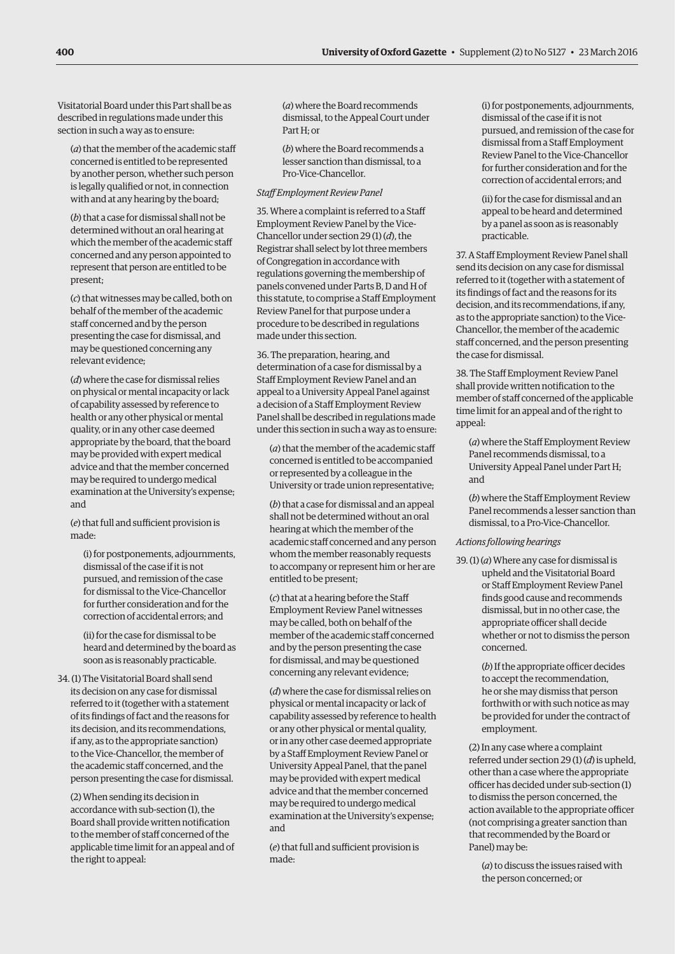Visitatorial Board under this Part shall be as described in regulations made under this section in such a way as to ensure:

(*a*) that the member of the academic staff concerned is entitled to be represented by another person, whether such person is legally qualified or not, in connection with and at any hearing by the board;

(*b*) that a case for dismissal shall not be determined without an oral hearing at which the member of the academic staff concerned and any person appointed to represent that person are entitled to be present;

(*c*) that witnesses may be called, both on behalf of the member of the academic staff concerned and by the person presenting the case for dismissal, and may be questioned concerning any relevant evidence;

(*d*) where the case for dismissal relies on physical or mental incapacity or lack of capability assessed by reference to health or any other physical or mental quality, or in any other case deemed appropriate by the board, that the board may be provided with expert medical advice and that the member concerned may be required to undergo medical examination at the University's expense; and

(*e*) that full and sufficient provision is made:

(i) for postponements, adjournments, dismissal of the case if it is not pursued, and remission of the case for dismissal to the Vice-Chancellor for further consideration and for the correction of accidental errors; and

(ii) for the case for dismissal to be heard and determined by the board as soon as is reasonably practicable.

34. (1) The Visitatorial Board shall send its decision on any case for dismissal referred to it (together with a statement of its findings of fact and the reasons for its decision, and its recommendations, if any, as to the appropriate sanction) to the Vice-Chancellor, the member of the academic staff concerned, and the person presenting the case for dismissal.

(2) When sending its decision in accordance with sub-section (1), the Board shall provide written notification to the member of staff concerned of the applicable time limit for an appeal and of the right to appeal:

(*a*) where the Board recommends dismissal, to the Appeal Court under Part H; or

(*b*) where the Board recommends a lesser sanction than dismissal, to a

Pro-Vice-Chancellor. *Staff Employment Review Panel*

35. Where a complaint is referred to a Staff Employment Review Panel by the Vice-Chancellor under section 29 (1) (*d*), the Registrar shall select by lot three members of Congregation in accordance with regulations governing the membership of panels convened under Parts B, D and H of this statute, to comprise a Staff Employment Review Panel for that purpose under a procedure to be described in regulations made under this section.

36. The preparation, hearing, and determination of a case for dismissal by a Staff Employment Review Panel and an appeal to a University Appeal Panel against a decision of a Staff Employment Review Panel shall be described in regulations made under this section in such a way as to ensure:

(*a*) that the member of the academic staff concerned is entitled to be accompanied or represented by a colleague in the University or trade union representative;

(*b*) that a case for dismissal and an appeal shall not be determined without an oral hearing at which the member of the academic staff concerned and any person whom the member reasonably requests to accompany or represent him or her are entitled to be present;

(*c*) that at a hearing before the Staff Employment Review Panel witnesses may be called, both on behalf of the member of the academic staff concerned and by the person presenting the case for dismissal, and may be questioned concerning any relevant evidence;

(*d*) where the case for dismissal relies on physical or mental incapacity or lack of capability assessed by reference to health or any other physical or mental quality, or in any other case deemed appropriate by a Staff Employment Review Panel or University Appeal Panel, that the panel may be provided with expert medical advice and that the member concerned may be required to undergo medical examination at the University's expense; and

(*e*) that full and sufficient provision is made:

(i) for postponements, adjournments, dismissal of the case if it is not pursued, and remission of the case for dismissal from a Staff Employment Review Panel to the Vice-Chancellor for further consideration and for the correction of accidental errors; and

(ii) for the case for dismissal and an appeal to be heard and determined by a panel as soon as is reasonably practicable.

37. A Staff Employment Review Panel shall send its decision on any case for dismissal referred to it (together with a statement of its findings of fact and the reasons for its decision, and its recommendations, if any, as to the appropriate sanction) to the Vice-Chancellor, the member of the academic staff concerned, and the person presenting the case for dismissal.

38. The Staff Employment Review Panel shall provide written notification to the member of staff concerned of the applicable time limit for an appeal and of the right to appeal:

(*a*) where the Staff Employment Review Panel recommends dismissal, to a University Appeal Panel under Part H; and

(*b*) where the Staff Employment Review Panel recommends a lesser sanction than dismissal, to a Pro-Vice-Chancellor.

#### *Actions following hearings*

39. (1) (*a*) Where any case for dismissal is upheld and the Visitatorial Board or Staff Employment Review Panel finds good cause and recommends dismissal, but in no other case, the appropriate officer shall decide whether or not to dismiss the person concerned.

> (*b*) If the appropriate officer decides to accept the recommendation, he or she may dismiss that person forthwith or with such notice as may be provided for under the contract of employment.

(2) In any case where a complaint referred under section 29 (1) (*d*) is upheld, other than a case where the appropriate officer has decided under sub-section (1) to dismiss the person concerned, the action available to the appropriate officer (not comprising a greater sanction than that recommended by the Board or Panel) may be:

(*a*) to discuss the issues raised with the person concerned; or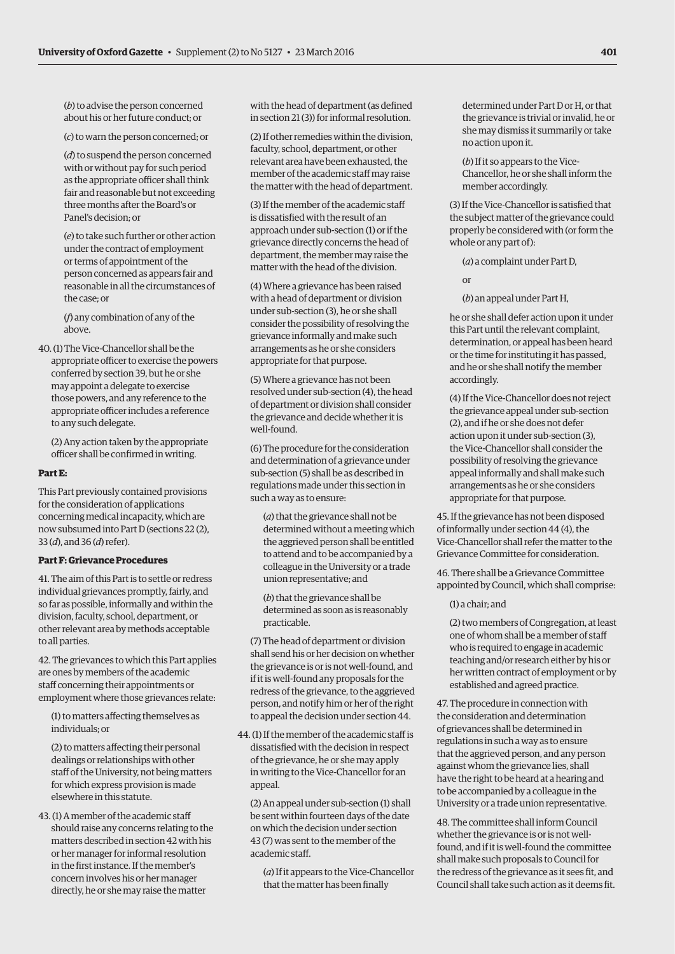(*b*) to advise the person concerned about his or her future conduct; or

(*c*) to warn the person concerned; or

(*d*) to suspend the person concerned with or without pay for such period as the appropriate officer shall think fair and reasonable but not exceeding three months after the Board's or Panel's decision; or

(*e*) to take such further or other action under the contract of employment or terms of appointment of the person concerned as appears fair and reasonable in all the circumstances of the case; or

(*f*) any combination of any of the above.

40. (1) The Vice-Chancellor shall be the appropriate officer to exercise the powers conferred by section 39, but he or she may appoint a delegate to exercise those powers, and any reference to the appropriate officer includes a reference to any such delegate.

(2) Any action taken by the appropriate officer shall be confirmed in writing.

#### **Part E:**

This Part previously contained provisions for the consideration of applications concerning medical incapacity, which are now subsumed into Part D (sections 22 (2), 33 (*d*), and 36 (*d*) refer).

### **Part F: Grievance Procedures**

41. The aim of this Part is to settle or redress individual grievances promptly, fairly, and so far as possible, informally and within the division, faculty, school, department, or other relevant area by methods acceptable to all parties.

42. The grievances to which this Part applies are ones by members of the academic staff concerning their appointments or employment where those grievances relate:

(1) to matters affecting themselves as individuals; or

(2) to matters affecting their personal dealings or relationships with other staff of the University, not being matters for which express provision is made elsewhere in this statute.

43. (1) A member of the academic staff should raise any concerns relating to the matters described in section 42 with his or her manager for informal resolution in the first instance. If the member's concern involves his or her manager directly, he or she may raise the matter

with the head of department (as defined in section 21 (3)) for informal resolution.

(2) If other remedies within the division, faculty, school, department, or other relevant area have been exhausted, the member of the academic staff may raise the matter with the head of department.

(3) If the member of the academic staff is dissatisfied with the result of an approach under sub-section (1) or if the grievance directly concerns the head of department, the member may raise the matter with the head of the division.

(4) Where a grievance has been raised with a head of department or division under sub-section (3), he or she shall consider the possibility of resolving the grievance informally and make such arrangements as he or she considers appropriate for that purpose.

(5) Where a grievance has not been resolved under sub-section (4), the head of department or division shall consider the grievance and decide whether it is well-found.

(6) The procedure for the consideration and determination of a grievance under sub-section (5) shall be as described in regulations made under this section in such a way as to ensure:

(*a*) that the grievance shall not be determined without a meeting which the aggrieved person shall be entitled to attend and to be accompanied by a colleague in the University or a trade union representative; and

(*b*) that the grievance shall be determined as soon as is reasonably practicable.

(7) The head of department or division shall send his or her decision on whether the grievance is or is not well-found, and if it is well-found any proposals for the redress of the grievance, to the aggrieved person, and notify him or her of the right to appeal the decision under section 44.

44. (1) If the member of the academic staff is dissatisfied with the decision in respect of the grievance, he or she may apply in writing to the Vice-Chancellor for an appeal.

(2) An appeal under sub-section (1) shall be sent within fourteen days of the date on which the decision under section 43 (7) was sent to the member of the academic staff.

(*a*) If it appears to the Vice-Chancellor that the matter has been finally

determined under Part D or H, or that the grievance is trivial or invalid, he or she may dismiss it summarily or take no action upon it.

(*b*) If it so appears to the Vice-Chancellor, he or she shall inform the member accordingly.

(3) If the Vice-Chancellor is satisfied that the subject matter of the grievance could properly be considered with (or form the whole or any part of):

(*a*) a complaint under Part D,

or

(*b*) an appeal under Part H,

he or she shall defer action upon it under this Part until the relevant complaint, determination, or appeal has been heard or the time for instituting it has passed, and he or she shall notify the member accordingly.

(4) If the Vice-Chancellor does not reject the grievance appeal under sub-section (2), and if he or she does not defer action upon it under sub-section (3), the Vice-Chancellor shall consider the possibility of resolving the grievance appeal informally and shall make such arrangements as he or she considers appropriate for that purpose.

45. If the grievance has not been disposed of informally under section 44 (4), the Vice-Chancellor shall refer the matter to the Grievance Committee for consideration.

46. There shall be a Grievance Committee appointed by Council, which shall comprise:

# (1) a chair; and

(2) two members of Congregation, at least one of whom shall be a member of staff who is required to engage in academic teaching and/or research either by his or her written contract of employment or by established and agreed practice.

47. The procedure in connection with the consideration and determination of grievances shall be determined in regulations in such a way as to ensure that the aggrieved person, and any person against whom the grievance lies, shall have the right to be heard at a hearing and to be accompanied by a colleague in the University or a trade union representative.

48. The committee shall inform Council whether the grievance is or is not wellfound, and if it is well-found the committee shall make such proposals to Council for the redress of the grievance as it sees fit, and Council shall take such action as it deems fit.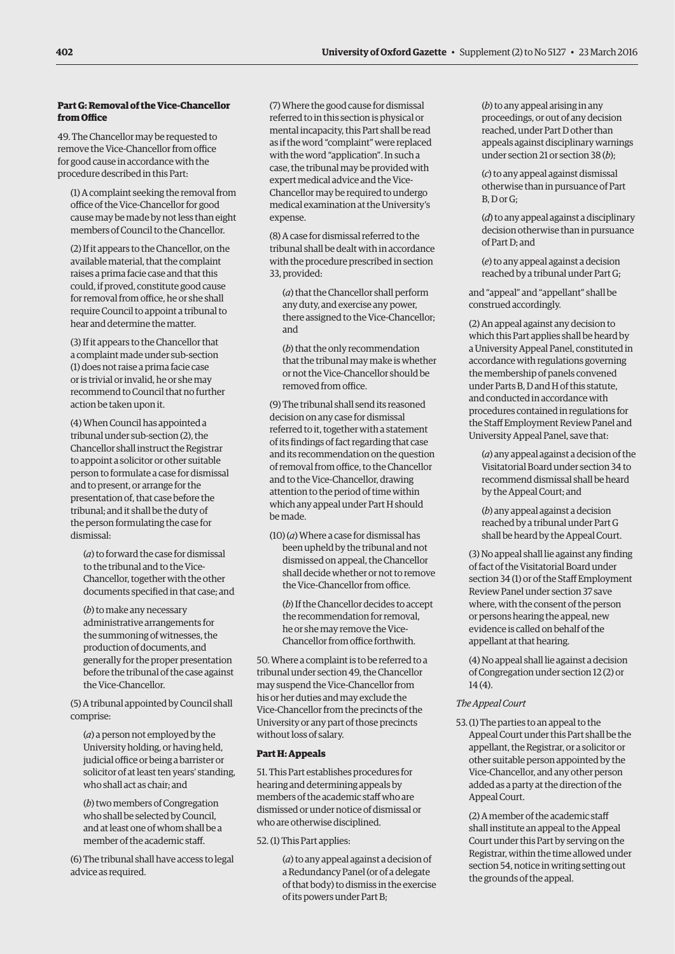# **Part G: Removal of the Vice-Chancellor from Office**

49. The Chancellor may be requested to remove the Vice-Chancellor from office for good cause in accordance with the procedure described in this Part:

(1) A complaint seeking the removal from office of the Vice-Chancellor for good cause may be made by not less than eight members of Council to the Chancellor.

(2) If it appears to the Chancellor, on the available material, that the complaint raises a prima facie case and that this could, if proved, constitute good cause for removal from office, he or she shall require Council to appoint a tribunal to hear and determine the matter.

(3) If it appears to the Chancellor that a complaint made under sub-section (1) does not raise a prima facie case or is trivial or invalid, he or she may recommend to Council that no further action be taken upon it.

(4) When Council has appointed a tribunal under sub-section (2), the Chancellor shall instruct the Registrar to appoint a solicitor or other suitable person to formulate a case for dismissal and to present, or arrange for the presentation of, that case before the tribunal; and it shall be the duty of the person formulating the case for dismissal:

(*a*) to forward the case for dismissal to the tribunal and to the Vice-Chancellor, together with the other documents specified in that case; and

(*b*) to make any necessary administrative arrangements for the summoning of witnesses, the production of documents, and generally for the proper presentation before the tribunal of the case against the Vice-Chancellor.

(5) A tribunal appointed by Council shall comprise:

(*a*) a person not employed by the University holding, or having held, judicial office or being a barrister or solicitor of at least ten years' standing, who shall act as chair; and

(*b*) two members of Congregation who shall be selected by Council, and at least one of whom shall be a member of the academic staff.

(6) The tribunal shall have access to legal advice as required.

(7) Where the good cause for dismissal referred to in this section is physical or mental incapacity, this Part shall be read as if the word "complaint" were replaced with the word "application". In such a case, the tribunal may be provided with expert medical advice and the Vice-Chancellor may be required to undergo medical examination at the University's expense.

(8) A case for dismissal referred to the tribunal shall be dealt with in accordance with the procedure prescribed in section 33, provided:

(*a*) that the Chancellor shall perform any duty, and exercise any power, there assigned to the Vice-Chancellor; and

(*b*) that the only recommendation that the tribunal may make is whether or not the Vice-Chancellor should be removed from office.

(9) The tribunal shall send its reasoned decision on any case for dismissal referred to it, together with a statement of its findings of fact regarding that case and its recommendation on the question of removal from office, to the Chancellor and to the Vice-Chancellor, drawing attention to the period of time within which any appeal under Part H should be made.

(10) (*a*) Where a case for dismissal has been upheld by the tribunal and not dismissed on appeal, the Chancellor shall decide whether or not to remove the Vice-Chancellor from office.

(*b*) If the Chancellor decides to accept the recommendation for removal, he or she may remove the Vice-Chancellor from office forthwith.

50. Where a complaint is to be referred to a tribunal under section 49, the Chancellor may suspend the Vice-Chancellor from his or her duties and may exclude the Vice-Chancellor from the precincts of the University or any part of those precincts without loss of salary.

# **Part H: Appeals**

51. This Part establishes procedures for hearing and determining appeals by members of the academic staff who are dismissed or under notice of dismissal or who are otherwise disciplined.

52. (1) This Part applies:

(*a*) to any appeal against a decision of a Redundancy Panel (or of a delegate of that body) to dismiss in the exercise of its powers under Part B;

(*b*) to any appeal arising in any proceedings, or out of any decision reached, under Part D other than appeals against disciplinary warnings under section 21 or section 38 (*b*);

(*c*) to any appeal against dismissal otherwise than in pursuance of Part B, D or G;

(*d*) to any appeal against a disciplinary decision otherwise than in pursuance of Part D; and

(*e*) to any appeal against a decision reached by a tribunal under Part G;

and "appeal" and "appellant" shall be construed accordingly.

(2) An appeal against any decision to which this Part applies shall be heard by a University Appeal Panel, constituted in accordance with regulations governing the membership of panels convened under Parts B, D and H of this statute, and conducted in accordance with procedures contained in regulations for the Staff Employment Review Panel and University Appeal Panel, save that:

(*a*) any appeal against a decision of the Visitatorial Board under section 34 to recommend dismissal shall be heard by the Appeal Court; and

(*b*) any appeal against a decision reached by a tribunal under Part G shall be heard by the Appeal Court.

(3) No appeal shall lie against any finding of fact of the Visitatorial Board under section 34 (1) or of the Staff Employment Review Panel under section 37 save where, with the consent of the person or persons hearing the appeal, new evidence is called on behalf of the appellant at that hearing.

(4) No appeal shall lie against a decision of Congregation under section 12 (2) or 14 (4).

# *The Appeal Court*

53.(1) The parties to an appeal to the Appeal Court under this Part shall be the appellant, the Registrar, or a solicitor or other suitable person appointed by the Vice-Chancellor, and any other person added as a party at the direction of the Appeal Court.

(2) A member of the academic staff shall institute an appeal to the Appeal Court under this Part by serving on the Registrar, within the time allowed under section 54, notice in writing setting out the grounds of the appeal.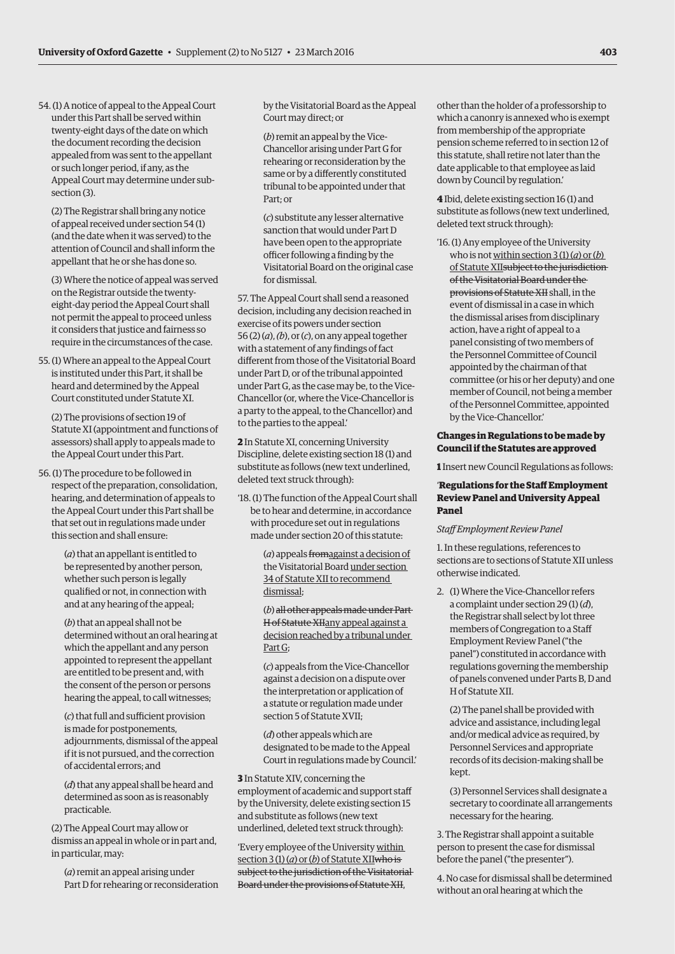54. (1) A notice of appeal to the Appeal Court under this Part shall be served within twenty-eight days of the date on which the document recording the decision appealed from was sent to the appellant or such longer period, if any, as the Appeal Court may determine under subsection (3).

(2) The Registrar shall bring any notice of appeal received under section 54 (1) (and the date when it was served) to the attention of Council and shall inform the appellant that he or she has done so.

(3) Where the notice of appeal was served on the Registrar outside the twentyeight-day period the Appeal Court shall not permit the appeal to proceed unless it considers that justice and fairness so require in the circumstances of the case.

55. (1) Where an appeal to the Appeal Court is instituted under this Part, it shall be heard and determined by the Appeal Court constituted under Statute XI.

(2) The provisions of section 19 of Statute XI (appointment and functions of assessors) shall apply to appeals made to the Appeal Court under this Part.

56. (1) The procedure to be followed in respect of the preparation, consolidation, hearing, and determination of appeals to the Appeal Court under this Part shall be that set out in regulations made under this section and shall ensure:

> (*a*) that an appellant is entitled to be represented by another person, whether such person is legally qualified or not, in connection with and at any hearing of the appeal;

(*b*) that an appeal shall not be determined without an oral hearing at which the appellant and any person appointed to represent the appellant are entitled to be present and, with the consent of the person or persons hearing the appeal, to call witnesses;

(*c*) that full and sufficient provision is made for postponements, adjournments, dismissal of the appeal if it is not pursued, and the correction of accidental errors; and

(*d*) that any appeal shall be heard and determined as soon as is reasonably practicable.

(2) The Appeal Court may allow or dismiss an appeal in whole or in part and, in particular, may:

(*a*) remit an appeal arising under Part D for rehearing or reconsideration by the Visitatorial Board as the Appeal Court may direct; or

(*b*) remit an appeal by the Vice-Chancellor arising under Part G for rehearing or reconsideration by the same or by a differently constituted tribunal to be appointed under that Part; or

(*c*) substitute any lesser alternative sanction that would under Part D have been open to the appropriate officer following a finding by the Visitatorial Board on the original case for dismissal.

57. The Appeal Court shall send a reasoned decision, including any decision reached in exercise of its powers under section 56 (2) (*a*), *(b*), or (*c*), on any appeal together with a statement of any findings of fact different from those of the Visitatorial Board under Part D, or of the tribunal appointed under Part G, as the case may be, to the Vice-Chancellor (or, where the Vice-Chancellor is a party to the appeal, to the Chancellor) and to the parties to the appeal.'

**2** In Statute XI, concerning University Discipline, delete existing section 18 (1) and substitute as follows (new text underlined, deleted text struck through):

'18. (1) The function of the Appeal Court shall be to hear and determine, in accordance with procedure set out in regulations made under section 20 of this statute:

> (*a*) appeals fromagainst a decision of the Visitatorial Board under section 34 of Statute XII to recommend dismissal;

(*b*) all other appeals made under Part H of Statute XIIany appeal against a decision reached by a tribunal under Part G;

(*c*) appeals from the Vice-Chancellor against a decision on a dispute over the interpretation or application of a statute or regulation made under section 5 of Statute XVII;

(*d*) other appeals which are designated to be made to the Appeal Court in regulations made by Council.'

**3** In Statute XIV, concerning the employment of academic and support staff by the University, delete existing section 15 and substitute as follows (new text underlined, deleted text struck through):

'Every employee of the University within section 3 (1) (*a*) or (*b*) of Statute XIIwho is subject to the jurisdiction of the Visitatorial Board under the provisions of Statute XII,

other than the holder of a professorship to which a canonry is annexed who is exempt from membership of the appropriate pension scheme referred to in section 12 of this statute, shall retire not later than the date applicable to that employee as laid down by Council by regulation.'

**4** Ibid, delete existing section 16 (1) and substitute as follows (new text underlined, deleted text struck through):

'16. (1) Any employee of the University who is not within section  $3(1)(a)$  or  $(b)$ of Statute XIIsubject to the jurisdiction of the Visitatorial Board under the provisions of Statute XII shall, in the event of dismissal in a case in which the dismissal arises from disciplinary action, have a right of appeal to a panel consisting of two members of the Personnel Committee of Council appointed by the chairman of that committee (or his or her deputy) and one member of Council, not being a member of the Personnel Committee, appointed by the Vice-Chancellor.'

#### **Changes in Regulations to be made by Council if the Statutes are approved**

**1** Insert new Council Regulations as follows:

#### '**Regulations for the Staff Employment Review Panel and University Appeal Panel**

#### *Staff Employment Review Panel*

1. In these regulations, references to sections are to sections of Statute XII unless otherwise indicated.

2. (1) Where the Vice-Chancellor refers a complaint under section 29 (1) (*d*), the Registrar shall select by lot three members of Congregation to a Staff Employment Review Panel ("the panel") constituted in accordance with regulations governing the membership of panels convened under Parts B, D and H of Statute XII.

(2) The panel shall be provided with advice and assistance, including legal and/or medical advice as required, by Personnel Services and appropriate records of its decision-making shall be kept.

(3) Personnel Services shall designate a secretary to coordinate all arrangements necessary for the hearing.

3. The Registrar shall appoint a suitable person to present the case for dismissal before the panel ("the presenter").

4. No case for dismissal shall be determined without an oral hearing at which the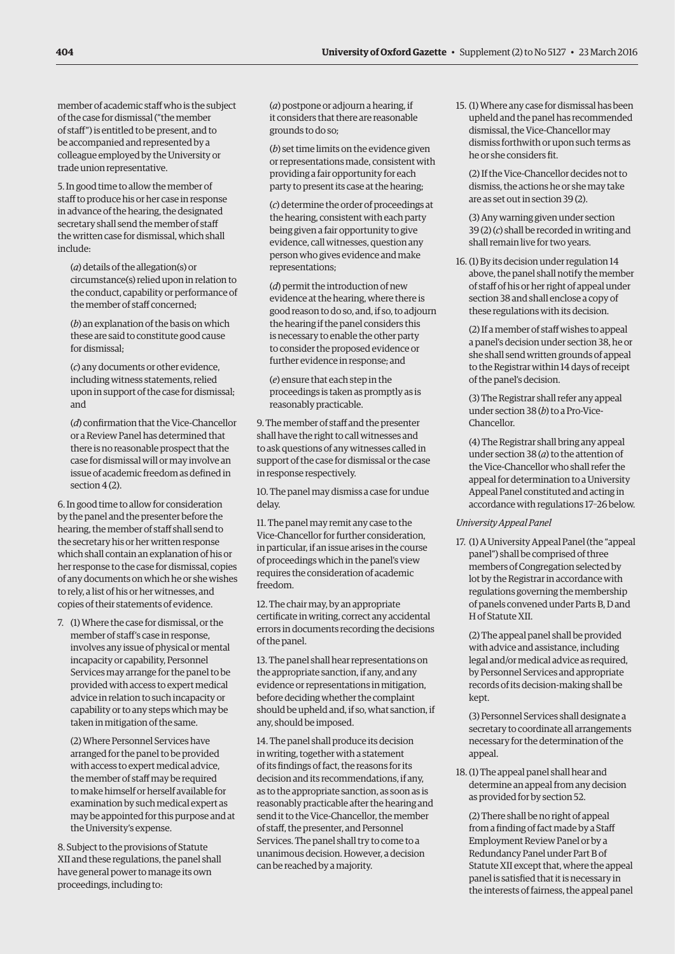member of academic staff who is the subject of the case for dismissal ("the member of staff") is entitled to be present, and to be accompanied and represented by a colleague employed by the University or trade union representative.

5. In good time to allow the member of staff to produce his or her case in response in advance of the hearing, the designated secretary shall send the member of staff the written case for dismissal, which shall include:

(*a*) details of the allegation(s) or circumstance(s) relied upon in relation to the conduct, capability or performance of the member of staff concerned;

(*b*) an explanation of the basis on which these are said to constitute good cause for dismissal;

(*c*) any documents or other evidence, including witness statements, relied upon in support of the case for dismissal; and

(*d*) confirmation that the Vice-Chancellor or a Review Panel has determined that there is no reasonable prospect that the case for dismissal will or may involve an issue of academic freedom as defined in section 4 (2).

6. In good time to allow for consideration by the panel and the presenter before the hearing, the member of staff shall send to the secretary his or her written response which shall contain an explanation of his or her response to the case for dismissal, copies of any documents on which he or she wishes to rely, a list of his or her witnesses, and copies of their statements of evidence.

7. (1) Where the case for dismissal, or the member of staff's case in response, involves any issue of physical or mental incapacity or capability, Personnel Services may arrange for the panel to be provided with access to expert medical advice in relation to such incapacity or capability or to any steps which may be taken in mitigation of the same.

(2) Where Personnel Services have arranged for the panel to be provided with access to expert medical advice, the member of staff may be required to make himself or herself available for examination by such medical expert as may be appointed for this purpose and at the University's expense.

8. Subject to the provisions of Statute XII and these regulations, the panel shall have general power to manage its own proceedings, including to:

(*a*) postpone or adjourn a hearing, if it considers that there are reasonable grounds to do so;

(*b*) set time limits on the evidence given or representations made, consistent with providing a fair opportunity for each party to present its case at the hearing;

(*c*) determine the order of proceedings at the hearing, consistent with each party being given a fair opportunity to give evidence, call witnesses, question any person who gives evidence and make representations;

(*d*) permit the introduction of new evidence at the hearing, where there is good reason to do so, and, if so, to adjourn the hearing if the panel considers this is necessary to enable the other party to consider the proposed evidence or further evidence in response; and

(*e*) ensure that each step in the proceedings is taken as promptly as is reasonably practicable.

9. The member of staff and the presenter shall have the right to call witnesses and to ask questions of any witnesses called in support of the case for dismissal or the case in response respectively.

10. The panel may dismiss a case for undue delay.

11. The panel may remit any case to the Vice-Chancellor for further consideration, in particular, if an issue arises in the course of proceedings which in the panel's view requires the consideration of academic freedom.

12. The chair may, by an appropriate certificate in writing, correct any accidental errors in documents recording the decisions of the panel.

13. The panel shall hear representations on the appropriate sanction, if any, and any evidence or representations in mitigation, before deciding whether the complaint should be upheld and, if so, what sanction, if any, should be imposed.

14. The panel shall produce its decision in writing, together with a statement of its findings of fact, the reasons for its decision and its recommendations, if any, as to the appropriate sanction, as soon as is reasonably practicable after the hearing and send it to the Vice-Chancellor, the member of staff, the presenter, and Personnel Services. The panel shall try to come to a unanimous decision. However, a decision can be reached by a majority.

15. (1) Where any case for dismissal has been upheld and the panel has recommended dismissal, the Vice-Chancellor may dismiss forthwith or upon such terms as he or she considers fit.

(2) If the Vice-Chancellor decides not to dismiss, the actions he or she may take are as set out in section 39 (2).

(3) Any warning given under section 39 (2) (*c*) shall be recorded in writing and shall remain live for two years.

16. (1) By its decision under regulation 14 above, the panel shall notify the member of staff of his or her right of appeal under section 38 and shall enclose a copy of these regulations with its decision.

(2) If a member of staff wishes to appeal a panel's decision under section 38, he or she shall send written grounds of appeal to the Registrar within 14 days of receipt of the panel's decision.

(3) The Registrar shall refer any appeal under section 38 (*b*) to a Pro-Vice-Chancellor.

(4) The Registrar shall bring any appeal under section 38 (*a*) to the attention of the Vice-Chancellor who shall refer the appeal for determination to a University Appeal Panel constituted and acting in accordance with regulations 17–26 below.

#### *University Appeal Panel*

17. (1) A University Appeal Panel (the "appeal panel") shall be comprised of three members of Congregation selected by lot by the Registrar in accordance with regulations governing the membership of panels convened under Parts B, D and H of Statute XII.

(2) The appeal panel shall be provided with advice and assistance, including legal and/or medical advice as required, by Personnel Services and appropriate records of its decision-making shall be kept.

(3) Personnel Services shall designate a secretary to coordinate all arrangements necessary for the determination of the appeal.

18. (1) The appeal panel shall hear and determine an appeal from any decision as provided for by section 52.

(2) There shall be no right of appeal from a finding of fact made by a Staff Employment Review Panel or by a Redundancy Panel under Part B of Statute XII except that, where the appeal panel is satisfied that it is necessary in the interests of fairness, the appeal panel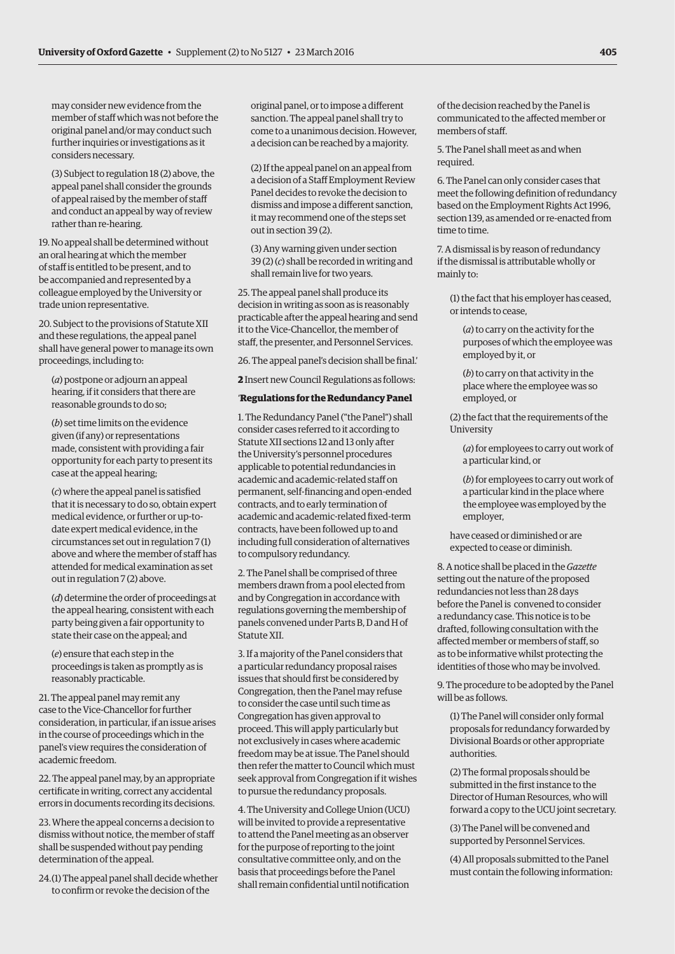may consider new evidence from the member of staff which was not before the original panel and/or may conduct such further inquiries or investigations as it considers necessary.

(3) Subject to regulation 18 (2) above, the appeal panel shall consider the grounds of appeal raised by the member of staff and conduct an appeal by way of review rather than re-hearing.

19. No appeal shall be determined without an oral hearing at which the member of staff is entitled to be present, and to be accompanied and represented by a colleague employed by the University or trade union representative.

20. Subject to the provisions of Statute XII and these regulations, the appeal panel shall have general power to manage its own proceedings, including to:

(*a*) postpone or adjourn an appeal hearing, if it considers that there are reasonable grounds to do so;

(*b*) set time limits on the evidence given (if any) or representations made, consistent with providing a fair opportunity for each party to present its case at the appeal hearing;

(*c*) where the appeal panel is satisfied that it is necessary to do so, obtain expert medical evidence, or further or up-todate expert medical evidence, in the circumstances set out in regulation 7 (1) above and where the member of staff has attended for medical examination as set out in regulation 7 (2) above.

(*d*) determine the order of proceedings at the appeal hearing, consistent with each party being given a fair opportunity to state their case on the appeal; and

(*e*) ensure that each step in the proceedings is taken as promptly as is reasonably practicable.

21. The appeal panel may remit any case to the Vice-Chancellor for further consideration, in particular, if an issue arises in the course of proceedings which in the panel's view requires the consideration of academic freedom.

22. The appeal panel may, by an appropriate certificate in writing, correct any accidental errors in documents recording its decisions.

23. Where the appeal concerns a decision to dismiss without notice, the member of staff shall be suspended without pay pending determination of the appeal.

24.(1) The appeal panel shall decide whether to confirm or revoke the decision of the

original panel, or to impose a different sanction. The appeal panel shall try to come to a unanimous decision. However, a decision can be reached by a majority.

(2) If the appeal panel on an appeal from a decision of a Staff Employment Review Panel decides to revoke the decision to dismiss and impose a different sanction, it may recommend one of the steps set out in section 39 (2).

(3) Any warning given under section 39 (2) (*c*) shall be recorded in writing and shall remain live for two years.

25. The appeal panel shall produce its decision in writing as soon as is reasonably practicable after the appeal hearing and send it to the Vice-Chancellor, the member of staff, the presenter, and Personnel Services.

26. The appeal panel's decision shall be final.'

**2** Insert new Council Regulations as follows:

# '**Regulations for the Redundancy Panel**

1. The Redundancy Panel ("the Panel") shall consider cases referred to it according to Statute XII sections 12 and 13 only after the University's personnel procedures applicable to potential redundancies in academic and academic-related staff on permanent, self-financing and open-ended contracts, and to early termination of academic and academic-related fixed-term contracts, have been followed up to and including full consideration of alternatives to compulsory redundancy.

2. The Panel shall be comprised of three members drawn from a pool elected from and by Congregation in accordance with regulations governing the membership of panels convened under Parts B, D and H of Statute XII.

3. If a majority of the Panel considers that a particular redundancy proposal raises issues that should first be considered by Congregation, then the Panel may refuse to consider the case until such time as Congregation has given approval to proceed. This will apply particularly but not exclusively in cases where academic freedom may be at issue. The Panel should then refer the matter to Council which must seek approval from Congregation if it wishes to pursue the redundancy proposals.

4. The University and College Union (UCU) will be invited to provide a representative to attend the Panel meeting as an observer for the purpose of reporting to the joint consultative committee only, and on the basis that proceedings before the Panel shall remain confidential until notification

of the decision reached by the Panel is communicated to the affected member or members of staff.

5. The Panel shall meet as and when required.

6. The Panel can only consider cases that meet the following definition of redundancy based on the Employment Rights Act 1996, section 139, as amended or re-enacted from time to time.

7. A dismissal is by reason of redundancy if the dismissal is attributable wholly or mainly to:

(1) the fact that his employer has ceased, or intends to cease,

(*a*) to carry on the activity for the purposes of which the employee was employed by it, or

(*b*) to carry on that activity in the place where the employee was so employed, or

(2) the fact that the requirements of the University

(*a*) for employees to carry out work of a particular kind, or

(*b*) for employees to carry out work of a particular kind in the place where the employee was employed by the employer,

have ceased or diminished or are expected to cease or diminish.

8. A notice shall be placed in the *Gazette* setting out the nature of the proposed redundancies not less than 28 days before the Panel is convened to consider a redundancy case. This notice is to be drafted, following consultation with the affected member or members of staff, so as to be informative whilst protecting the identities of those who may be involved.

9. The procedure to be adopted by the Panel will be as follows.

(1) The Panel will consider only formal proposals for redundancy forwarded by Divisional Boards or other appropriate authorities.

(2) The formal proposals should be submitted in the first instance to the Director of Human Resources, who will forward a copy to the UCU joint secretary.

(3) The Panel will be convened and supported by Personnel Services.

(4) All proposals submitted to the Panel must contain the following information: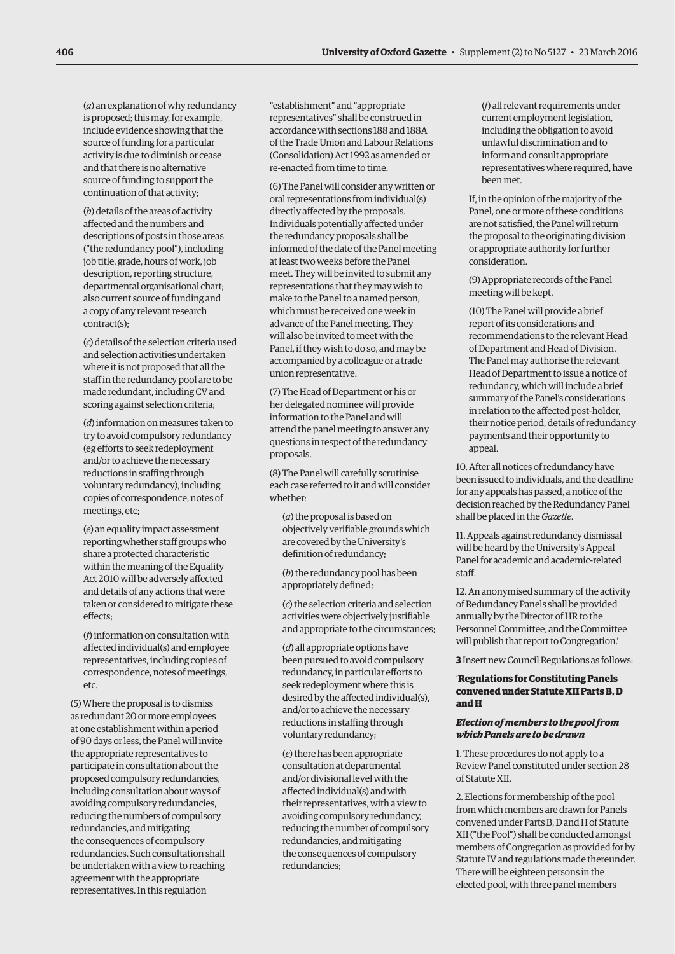(*a*) an explanation of why redundancy is proposed; this may, for example, include evidence showing that the source of funding for a particular activity is due to diminish or cease and that there is no alternative source of funding to support the continuation of that activity;

(*b*) details of the areas of activity affected and the numbers and descriptions of posts in those areas ("the redundancy pool"), including job title, grade, hours of work, job description, reporting structure, departmental organisational chart; also current source of funding and a copy of any relevant research contract(s);

(*c*) details of the selection criteria used and selection activities undertaken where it is not proposed that all the staff in the redundancy pool are to be made redundant, including CV and scoring against selection criteria;

(*d*) information on measures taken to try to avoid compulsory redundancy (eg efforts to seek redeployment and/or to achieve the necessary reductions in staffing through voluntary redundancy), including copies of correspondence, notes of meetings, etc;

(*e*) an equality impact assessment reporting whether staff groups who share a protected characteristic within the meaning of the Equality Act 2010 will be adversely affected and details of any actions that were taken or considered to mitigate these effects;

(*f*) information on consultation with affected individual(s) and employee representatives, including copies of correspondence, notes of meetings, etc.

(5) Where the proposal is to dismiss as redundant 20 or more employees at one establishment within a period of 90 days or less, the Panel will invite the appropriate representatives to participate in consultation about the proposed compulsory redundancies, including consultation about ways of avoiding compulsory redundancies, reducing the numbers of compulsory redundancies, and mitigating the consequences of compulsory redundancies. Such consultation shall be undertaken with a view to reaching agreement with the appropriate representatives. In this regulation

"establishment" and "appropriate representatives" shall be construed in accordance with sections 188 and 188A of the Trade Union and Labour Relations (Consolidation) Act 1992 as amended or re-enacted from time to time.

(6) The Panel will consider any written or oral representations from individual(s) directly affected by the proposals. Individuals potentially affected under the redundancy proposals shall be informed of the date of the Panel meeting at least two weeks before the Panel meet. They will be invited to submit any representations that they may wish to make to the Panel to a named person, which must be received one week in advance of the Panel meeting. They will also be invited to meet with the Panel, if they wish to do so, and may be accompanied by a colleague or a trade union representative.

(7) The Head of Department or his or her delegated nominee will provide information to the Panel and will attend the panel meeting to answer any questions in respect of the redundancy proposals.

(8) The Panel will carefully scrutinise each case referred to it and will consider whether:

(*a*) the proposal is based on objectively verifiable grounds which are covered by the University's definition of redundancy;

(*b*) the redundancy pool has been appropriately defined;

(*c*) the selection criteria and selection activities were objectively justifiable and appropriate to the circumstances;

(*d*) all appropriate options have been pursued to avoid compulsory redundancy, in particular efforts to seek redeployment where this is desired by the affected individual(s), and/or to achieve the necessary reductions in staffing through voluntary redundancy;

(*e*) there has been appropriate consultation at departmental and/or divisional level with the affected individual(s) and with their representatives, with a view to avoiding compulsory redundancy, reducing the number of compulsory redundancies, and mitigating the consequences of compulsory redundancies;

(*f*) all relevant requirements under current employment legislation, including the obligation to avoid unlawful discrimination and to inform and consult appropriate representatives where required, have been met.

If, in the opinion of the majority of the Panel, one or more of these conditions are not satisfied, the Panel will return the proposal to the originating division or appropriate authority for further consideration.

(9) Appropriate records of the Panel meeting will be kept.

(10) The Panel will provide a brief report of its considerations and recommendations to the relevant Head of Department and Head of Division. The Panel may authorise the relevant Head of Department to issue a notice of redundancy, which will include a brief summary of the Panel's considerations in relation to the affected post-holder, their notice period, details of redundancy payments and their opportunity to appeal.

10. After all notices of redundancy have been issued to individuals, and the deadline for any appeals has passed, a notice of the decision reached by the Redundancy Panel shall be placed in the *Gazette*.

11. Appeals against redundancy dismissal will be heard by the University's Appeal Panel for academic and academic-related staff.

12. An anonymised summary of the activity of Redundancy Panels shall be provided annually by the Director of HR to the Personnel Committee, and the Committee will publish that report to Congregation.'

**3** Insert new Council Regulations as follows:

# '**Regulations for Constituting Panels convened under Statute XII Parts B, D and H**

#### *Election of members to the pool from which Panels are to be drawn*

1. These procedures do not apply to a Review Panel constituted under section 28 of Statute XII.

2. Elections for membership of the pool from which members are drawn for Panels convened under Parts B, D and H of Statute XII ("the Pool") shall be conducted amongst members of Congregation as provided for by Statute IV and regulations made thereunder. There will be eighteen persons in the elected pool, with three panel members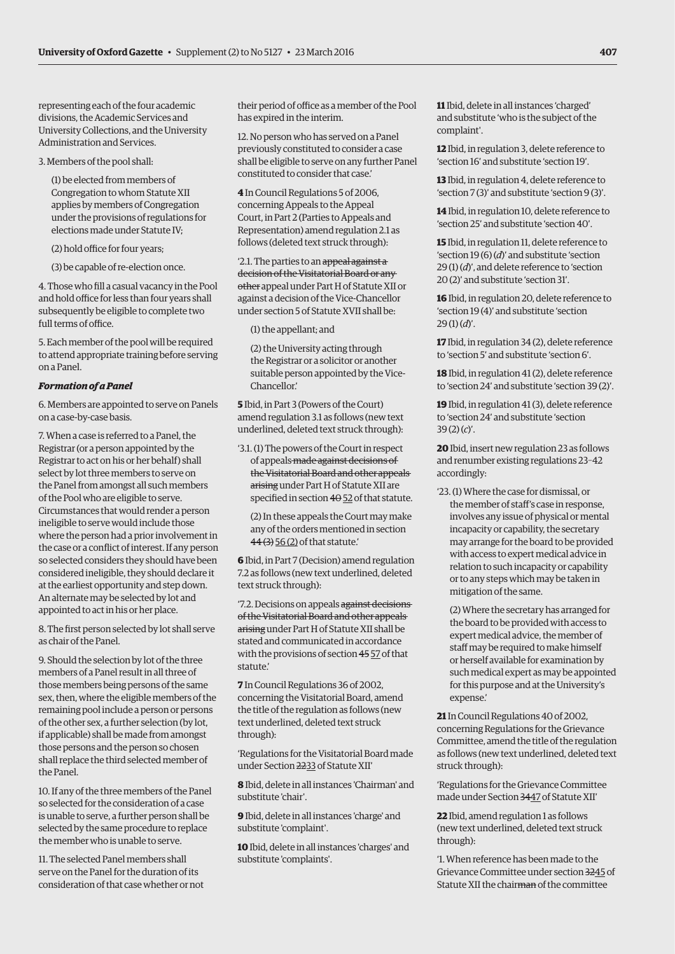representing each of the four academic divisions, the Academic Services and University Collections, and the University Administration and Services.

3. Members of the pool shall:

(1) be elected from members of Congregation to whom Statute XII applies by members of Congregation under the provisions of regulations for elections made under Statute IV;

(2) hold office for four years;

(3) be capable of re-election once.

4. Those who fill a casual vacancy in the Pool and hold office for less than four years shall subsequently be eligible to complete two full terms of office.

5. Each member of the pool will be required to attend appropriate training before serving on a Panel.

#### *Formation of a Panel*

6. Members are appointed to serve on Panels on a case-by-case basis.

7. When a case is referred to a Panel, the Registrar (or a person appointed by the Registrar to act on his or her behalf) shall select by lot three members to serve on the Panel from amongst all such members of the Pool who are eligible to serve. Circumstances that would render a person ineligible to serve would include those where the person had a prior involvement in the case or a conflict of interest. If any person so selected considers they should have been considered ineligible, they should declare it at the earliest opportunity and step down. An alternate may be selected by lot and appointed to act in his or her place.

8. The first person selected by lot shall serve as chair of the Panel.

9. Should the selection by lot of the three members of a Panel result in all three of those members being persons of the same sex, then, where the eligible members of the remaining pool include a person or persons of the other sex, a further selection (by lot, if applicable) shall be made from amongst those persons and the person so chosen shall replace the third selected member of the Panel.

10. If any of the three members of the Panel so selected for the consideration of a case is unable to serve, a further person shall be selected by the same procedure to replace the member who is unable to serve.

11. The selected Panel members shall serve on the Panel for the duration of its consideration of that case whether or not

their period of office as a member of the Pool has expired in the interim.

12. No person who has served on a Panel previously constituted to consider a case shall be eligible to serve on any further Panel constituted to consider that case.'

**4** In Council Regulations 5 of 2006, concerning Appeals to the Appeal Court, in Part 2 (Parties to Appeals and Representation) amend regulation 2.1 as follows (deleted text struck through):

'2.1. The parties to an appeal against a decision of the Visitatorial Board or any other appeal under Part H of Statute XII or against a decision of the Vice-Chancellor under section 5 of Statute XVII shall be:

(1) the appellant; and

(2) the University acting through the Registrar or a solicitor or another suitable person appointed by the Vice-Chancellor.'

**5** Ibid, in Part 3 (Powers of the Court) amend regulation 3.1 as follows (new text underlined, deleted text struck through):

'3.1. (1) The powers of the Court in respect of appeals made against decisions of the Visitatorial Board and other appeals arising under Part H of Statute XII are specified in section  $4\theta$  52 of that statute.

(2) In these appeals the Court may make any of the orders mentioned in section 44 (3) 56 (2) of that statute.'

**6** Ibid, in Part 7 (Decision) amend regulation 7.2 as follows (new text underlined, deleted text struck through):

'7.2. Decisions on appeals against decisions of the Visitatorial Board and other appeals arising under Part H of Statute XII shall be stated and communicated in accordance with the provisions of section 45 57 of that statute.'

**7** In Council Regulations 36 of 2002, concerning the Visitatorial Board, amend the title of the regulation as follows (new text underlined, deleted text struck through):

'Regulations for the Visitatorial Board made under Section 2233 of Statute XII'

**8** Ibid, delete in all instances 'Chairman' and substitute 'chair'.

**9** Ibid, delete in all instances 'charge' and substitute 'complaint'.

**10** Ibid, delete in all instances 'charges' and substitute 'complaints'.

**11** Ibid, delete in all instances 'charged' and substitute 'who is the subject of the complaint'.

**12** Ibid, in regulation 3, delete reference to 'section 16' and substitute 'section 19'.

**13** Ibid, in regulation 4, delete reference to 'section 7 (3)' and substitute 'section 9 (3)'.

**14** Ibid, in regulation 10, delete reference to 'section 25' and substitute 'section 40'.

**15** Ibid, in regulation 11, delete reference to 'section 19 (6) (*d*)' and substitute 'section 29 (1) (*d*)', and delete reference to 'section 20 (2)' and substitute 'section 31'.

**16** Ibid, in regulation 20, delete reference to 'section 19 (4)' and substitute 'section 29 (1) (*d*)'.

**17** Ibid, in regulation 34 (2), delete reference to 'section 5' and substitute 'section 6'.

**18** Ibid, in regulation 41 (2), delete reference to 'section 24' and substitute 'section 39 (2)'.

**19** Ibid, in regulation 41 (3), delete reference to 'section 24' and substitute 'section 39 (2) (*c*)'.

**20** Ibid, insert new regulation 23 as follows and renumber existing regulations 23–42 accordingly:

'23. (1) Where the case for dismissal, or the member of staff's case in response, involves any issue of physical or mental incapacity or capability, the secretary may arrange for the board to be provided with access to expert medical advice in relation to such incapacity or capability or to any steps which may be taken in mitigation of the same.

(2) Where the secretary has arranged for the board to be provided with access to expert medical advice, the member of staff may be required to make himself or herself available for examination by such medical expert as may be appointed for this purpose and at the University's expense.'

**21** In Council Regulations 40 of 2002, concerning Regulations for the Grievance Committee, amend the title of the regulation as follows (new text underlined, deleted text struck through):

'Regulations for the Grievance Committee made under Section 3447 of Statute XII'

**22** Ibid, amend regulation 1 as follows (new text underlined, deleted text struck through):

'1. When reference has been made to the Grievance Committee under section 3245 of Statute XII the chairman of the committee